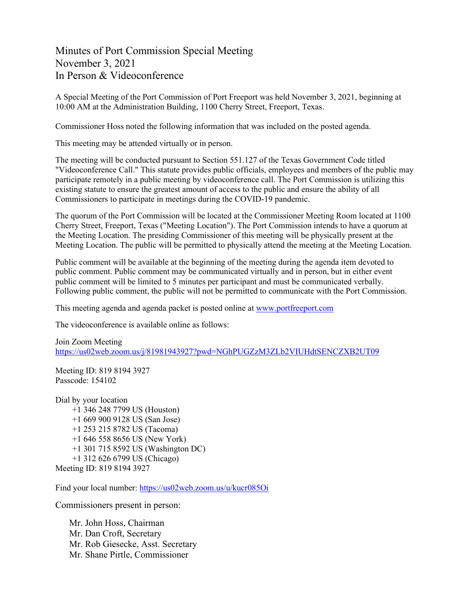Minutes of Port Commission Special Meeting November 3, 2021 In Person & Videoconference

A Special Meeting of the Port Commission of Port Freeport was held November 3, 2021, beginning at 10:00 AM at the Administration Building, 1100 Cherry Street, Freeport, Texas.

Commissioner Hoss noted the following information that was included on the posted agenda.

This meeting may be attended virtually or in person.

The meeting will be conducted pursuant to Section 551.127 of the Texas Government Code titled "Videoconference Call." This statute provides public officials, employees and members of the public may participate remotely in a public meeting by videoconference call. The Port Commission is utilizing this existing statute to ensure the greatest amount of access to the public and ensure the ability of all Commissioners to participate in meetings during the COVID-19 pandemic.

The quorum of the Port Commission will be located at the Commissioner Meeting Room located at 1100 Cherry Street, Freeport, Texas ("Meeting Location"). The Port Commission intends to have a quorum at the Meeting Location. The presiding Commissioner of this meeting will be physically present at the Meeting Location. The public will be permitted to physically attend the meeting at the Meeting Location.

Public comment will be available at the beginning of the meeting during the agenda item devoted to public comment. Public comment may be communicated virtually and in person, but in either event public comment will be limited to 5 minutes per participant and must be communicated verbally. Following public comment, the public will not be permitted to communicate with the Port Commission.

This meeting agenda and agenda packet is posted online at [www.portfreeport.com](http://www.portfreeport.com/)

The videoconference is available online as follows:

Join Zoom Meeting <https://us02web.zoom.us/j/81981943927?pwd=NGhPUGZzM3ZLb2VIUHdtSENCZXB2UT09>

Meeting ID: 819 8194 3927 Passcode: 154102

Dial by your location +1 346 248 7799 US (Houston) +1 669 900 9128 US (San Jose) +1 253 215 8782 US (Tacoma) +1 646 558 8656 US (New York) +1 301 715 8592 US (Washington DC) +1 312 626 6799 US (Chicago) Meeting ID: 819 8194 3927

Find your local number:<https://us02web.zoom.us/u/kucr085Oi>

Commissioners present in person:

Mr. John Hoss, Chairman Mr. Dan Croft, Secretary Mr. Rob Giesecke, Asst. Secretary Mr. Shane Pirtle, Commissioner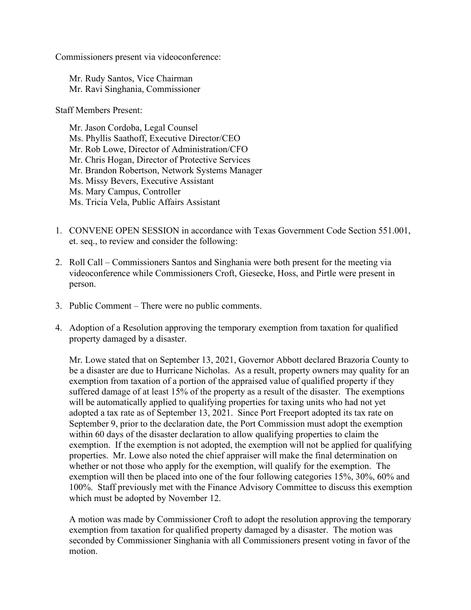Commissioners present via videoconference:

Mr. Rudy Santos, Vice Chairman Mr. Ravi Singhania, Commissioner

Staff Members Present:

Mr. Jason Cordoba, Legal Counsel Ms. Phyllis Saathoff, Executive Director/CEO Mr. Rob Lowe, Director of Administration/CFO Mr. Chris Hogan, Director of Protective Services Mr. Brandon Robertson, Network Systems Manager Ms. Missy Bevers, Executive Assistant Ms. Mary Campus, Controller Ms. Tricia Vela, Public Affairs Assistant

- 1. CONVENE OPEN SESSION in accordance with Texas Government Code Section 551.001, et. seq., to review and consider the following:
- 2. Roll Call Commissioners Santos and Singhania were both present for the meeting via videoconference while Commissioners Croft, Giesecke, Hoss, and Pirtle were present in person.
- 3. Public Comment There were no public comments.
- 4. Adoption of a Resolution approving the temporary exemption from taxation for qualified property damaged by a disaster.

Mr. Lowe stated that on September 13, 2021, Governor Abbott declared Brazoria County to be a disaster are due to Hurricane Nicholas. As a result, property owners may quality for an exemption from taxation of a portion of the appraised value of qualified property if they suffered damage of at least 15% of the property as a result of the disaster. The exemptions will be automatically applied to qualifying properties for taxing units who had not yet adopted a tax rate as of September 13, 2021. Since Port Freeport adopted its tax rate on September 9, prior to the declaration date, the Port Commission must adopt the exemption within 60 days of the disaster declaration to allow qualifying properties to claim the exemption. If the exemption is not adopted, the exemption will not be applied for qualifying properties. Mr. Lowe also noted the chief appraiser will make the final determination on whether or not those who apply for the exemption, will qualify for the exemption. The exemption will then be placed into one of the four following categories 15%, 30%, 60% and 100%. Staff previously met with the Finance Advisory Committee to discuss this exemption which must be adopted by November 12.

A motion was made by Commissioner Croft to adopt the resolution approving the temporary exemption from taxation for qualified property damaged by a disaster. The motion was seconded by Commissioner Singhania with all Commissioners present voting in favor of the motion.